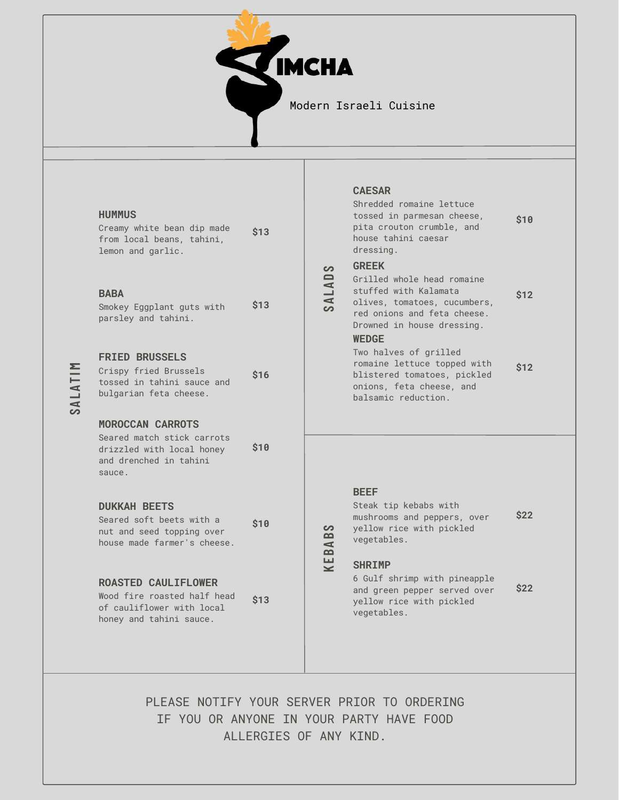

| <b>HUMMUS</b> |
|---------------|
|---------------|

| Creamy white bean dip made | \$13 |
|----------------------------|------|
| from local beans, tahini,  |      |
| lemon and garlic.          |      |

# **BABA**

**SALAT IM**

| Smokey Eggplant guts with |  |  | \$13 |
|---------------------------|--|--|------|
| parsley and tahini.       |  |  |      |

#### **FRIED BRUSSELS**

| Crispy fried Brussels      | <b>S16</b> |
|----------------------------|------------|
| tossed in tahini sauce and |            |
| bulgarian feta cheese.     |            |

## **MOROCCAN CARROTS**

Seared match stick carrots drizzled with local honey and drenched in tahini sauce. **\$10**

#### **DUKKAH BEETS**

| Seared soft beets with a    | \$10 |
|-----------------------------|------|
| nut and seed topping over   |      |
| house made farmer's cheese. |      |

#### **ROASTED CAULIFLOWER**

Wood fire roasted half head of cauliflower with local honey and tahini sauce. **\$13**

## **CAESAR**

| Shredded romaine lettuce<br>tossed in parmesan cheese,<br>pita crouton crumble, and<br>house tahini caesar<br>dressing.                          | \$10        |
|--------------------------------------------------------------------------------------------------------------------------------------------------|-------------|
| <b>GREEK</b>                                                                                                                                     |             |
| Grilled whole head romaine<br>stuffed with Kalamata<br>olives, tomatoes, cucumbers,<br>red onions and feta cheese.<br>Drowned in house dressing. | \$12        |
| <b>WEDGE</b>                                                                                                                                     |             |
| Two halves of grilled<br>romaine lettuce topped with<br>blistered tomatoes, pickled<br>onions, feta cheese, and<br>balsamic reduction.           | <b>\$12</b> |

#### **BEEF**

Steak tip kebabs with mushrooms and peppers, over yellow rice with pickled vegetables. **\$22**

# **SHRIMP**

**KEBABS**

**SALAD**

**S**

6 Gulf shrimp with pineapple and green pepper served over yellow rice with pickled vegetables. **\$22**

PLEASE NOTIFY YOUR SERVER PRIOR TO ORDERING IF YOU OR ANYONE IN YOUR PARTY HAVE FOOD ALLERGIES OF ANY KIND.